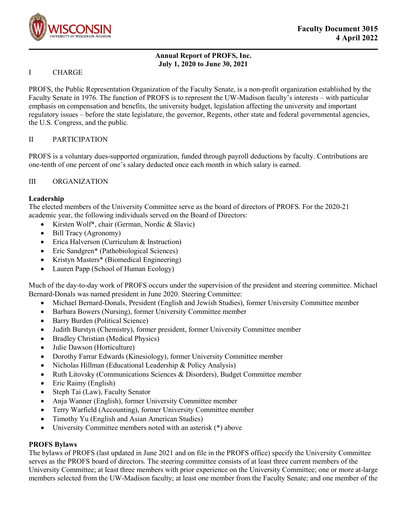

## **Annual Report of PROFS, Inc. July 1, 2020 to June 30, 2021**

#### I CHARGE

PROFS, the Public Representation Organization of the Faculty Senate, is a non-profit organization established by the Faculty Senate in 1976. The function of PROFS is to represent the UW-Madison faculty's interests – with particular emphasis on compensation and benefits, the university budget, legislation affecting the university and important regulatory issues – before the state legislature, the governor, Regents, other state and federal governmental agencies, the U.S. Congress, and the public.

## II PARTICIPATION

PROFS is a voluntary dues-supported organization, funded through payroll deductions by faculty. Contributions are one-tenth of one percent of one's salary deducted once each month in which salary is earned.

## III ORGANIZATION

## **Leadership**

The elected members of the University Committee serve as the board of directors of PROFS. For the 2020-21 academic year, the following individuals served on the Board of Directors:

- Kirsten Wolf<sup>\*</sup>, chair (German, Nordic & Slavic)
- Bill Tracy (Agronomy)
- Erica Halverson (Curriculum & Instruction)
- Eric Sandgren\* (Pathobiological Sciences)
- Kristyn Masters\* (Biomedical Engineering)
- Lauren Papp (School of Human Ecology)

Much of the day-to-day work of PROFS occurs under the supervision of the president and steering committee. Michael Bernard-Donals was named president in June 2020. Steering Committee:

- Michael Bernard-Donals, President (English and Jewish Studies), former University Committee member
- Barbara Bowers (Nursing), former University Committee member
- Barry Burden (Political Science)
- Judith Burstyn (Chemistry), former president, former University Committee member
- Bradley Christian (Medical Physics)
- Julie Dawson (Horticulture)
- Dorothy Farrar Edwards (Kinesiology), former University Committee member
- Nicholas Hillman (Educational Leadership & Policy Analysis)
- Ruth Litovsky (Communications Sciences & Disorders), Budget Committee member
- Eric Raimy (English)
- Steph Tai (Law), Faculty Senator
- Anja Wanner (English), former University Committee member
- Terry Warfield (Accounting), former University Committee member
- Timothy Yu (English and Asian American Studies)
- University Committee members noted with an asterisk (\*) above

#### **PROFS Bylaws**

The bylaws of PROFS (last updated in June 2021 and on file in the PROFS office) specify the University Committee serves as the PROFS board of directors. The steering committee consists of at least three current members of the University Committee; at least three members with prior experience on the University Committee; one or more at-large members selected from the UW-Madison faculty; at least one member from the Faculty Senate; and one member of the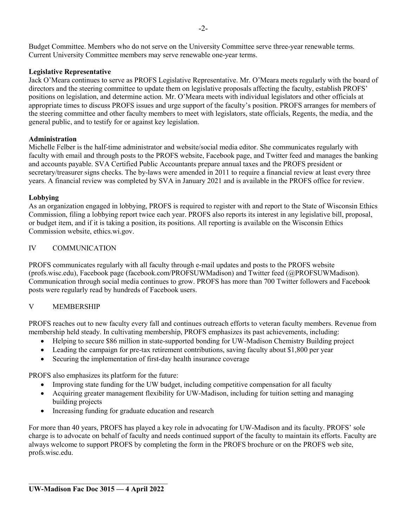Budget Committee. Members who do not serve on the University Committee serve three-year renewable terms. Current University Committee members may serve renewable one-year terms.

## **Legislative Representative**

Jack O'Meara continues to serve as PROFS Legislative Representative. Mr. O'Meara meets regularly with the board of directors and the steering committee to update them on legislative proposals affecting the faculty, establish PROFS' positions on legislation, and determine action. Mr. O'Meara meets with individual legislators and other officials at appropriate times to discuss PROFS issues and urge support of the faculty's position. PROFS arranges for members of the steering committee and other faculty members to meet with legislators, state officials, Regents, the media, and the general public, and to testify for or against key legislation.

## **Administration**

Michelle Felber is the half-time administrator and website/social media editor. She communicates regularly with faculty with email and through posts to the PROFS website, Facebook page, and Twitter feed and manages the banking and accounts payable. SVA Certified Public Accountants prepare annual taxes and the PROFS president or secretary/treasurer signs checks. The by-laws were amended in 2011 to require a financial review at least every three years. A financial review was completed by SVA in January 2021 and is available in the PROFS office for review.

## **Lobbying**

As an organization engaged in lobbying, PROFS is required to register with and report to the State of Wisconsin Ethics Commission, filing a lobbying report twice each year. PROFS also reports its interest in any legislative bill, proposal, or budget item, and if it is taking a position, its positions. All reporting is available on the Wisconsin Ethics Commission website, ethics.wi.gov.

## IV COMMUNICATION

PROFS communicates regularly with all faculty through e-mail updates and posts to the PROFS website (profs.wisc.edu), Facebook page (facebook.com/PROFSUWMadison) and Twitter feed (@PROFSUWMadison). Communication through social media continues to grow. PROFS has more than 700 Twitter followers and Facebook posts were regularly read by hundreds of Facebook users.

# V MEMBERSHIP

PROFS reaches out to new faculty every fall and continues outreach efforts to veteran faculty members. Revenue from membership held steady. In cultivating membership, PROFS emphasizes its past achievements, including:

- Helping to secure \$86 million in state-supported bonding for UW-Madison Chemistry Building project
- Leading the campaign for pre-tax retirement contributions, saving faculty about \$1,800 per year
- Securing the implementation of first-day health insurance coverage

PROFS also emphasizes its platform for the future:

- Improving state funding for the UW budget, including competitive compensation for all faculty
- Acquiring greater management flexibility for UW-Madison, including for tuition setting and managing building projects
- Increasing funding for graduate education and research

For more than 40 years, PROFS has played a key role in advocating for UW-Madison and its faculty. PROFS' sole charge is to advocate on behalf of faculty and needs continued support of the faculty to maintain its efforts. Faculty are always welcome to support PROFS by completing the form in the PROFS brochure or on the PROFS web site, profs.wisc.edu.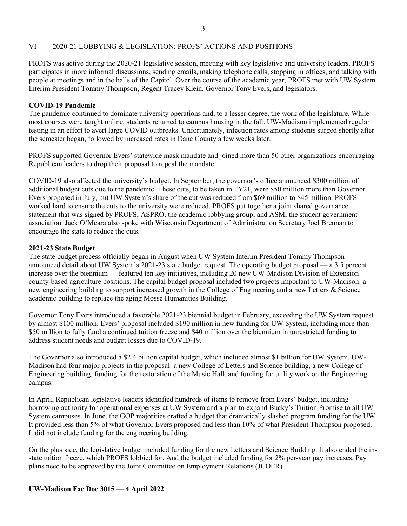## VI 2020-21 LOBBYING & LEGISLATION: PROFS' ACTIONS AND POSITIONS

PROFS was active during the 2020-21 legislative session, meeting with key legislative and university leaders. PROFS participates in more informal discussions, sending emails, making telephone calls, stopping in offices, and talking with people at meetings and in the halls of the Capitol. Over the course of the academic year, PROFS met with UW System Interim President Tommy Thompson, Regent Tracey Klein, Governor Tony Evers, and legislators.

#### **COVID-19 Pandemic**

The pandemic continued to dominate university operations and, to a lesser degree, the work of the legislature. While most courses were taught online, students returned to campus housing in the fall. UW-Madison implemented regular testing in an effort to avert large COVID outbreaks. Unfortunately, infection rates among students surged shortly after the semester began, followed by increased rates in Dane County a few weeks later.

PROFS supported Governor Evers' statewide mask mandate and joined more than 50 other organizations encouraging Republican leaders to drop their proposal to repeal the mandate.

COVID-19 also affected the university's budget. In September, the governor's office announced \$300 million of additional budget cuts due to the pandemic. These cuts, to be taken in FY21, were \$50 million more than Governor Evers proposed in July, but UW System's share of the cut was reduced from \$69 million to \$45 million. PROFS worked hard to ensure the cuts to the university were reduced. PROFS put together a joint shared governance statement that was signed by PROFS; ASPRO, the academic lobbying group; and ASM, the student government association. Jack O'Meara also spoke with Wisconsin Department of Administration Secretary Joel Brennan to encourage the state to reduce the cuts.

#### **2021-23 State Budget**

The state budget process officially began in August when UW System Interim President Tommy Thompson announced detail about UW System's 2021-23 state budget request. The operating budget proposal — a 3.5 percent increase over the biennium — featured ten key initiatives, including 20 new UW-Madison Division of Extension county-based agriculture positions. The capital budget proposal included two projects important to UW-Madison: a new engineering building to support increased growth in the College of Engineering and a new Letters & Science academic building to replace the aging Mosse Humanities Building.

Governor Tony Evers introduced a favorable 2021-23 biennial budget in February, exceeding the UW System request by almost \$100 million. Evers' proposal included \$190 million in new funding for UW System, including more than \$50 million to fully fund a continued tuition freeze and \$40 million over the biennium in unrestricted funding to address student needs and budget losses due to COVID-19.

The Governor also introduced a \$2.4 billion capital budget, which included almost \$1 billion for UW System. UW-Madison had four major projects in the proposal: a new College of Letters and Science building, a new College of Engineering building, funding for the restoration of the Music Hall, and funding for utility work on the Engineering campus.

In April, Republican legislative leaders identified hundreds of items to remove from Evers' budget, including borrowing authority for operational expenses at UW System and a plan to expand Bucky's Tuition Promise to all UW System campuses. In June, the GOP majorities crafted a budget that dramatically slashed program funding for the UW. It provided less than 5% of what Governor Evers proposed and less than 10% of what President Thompson proposed. It did not include funding for the engineering building.

On the plus side, the legislative budget included funding for the new Letters and Science Building. It also ended the instate tuition freeze, which PROFS lobbied for. And the budget included funding for 2% per-year pay increases. Pay plans need to be approved by the Joint Committee on Employment Relations (JCOER).